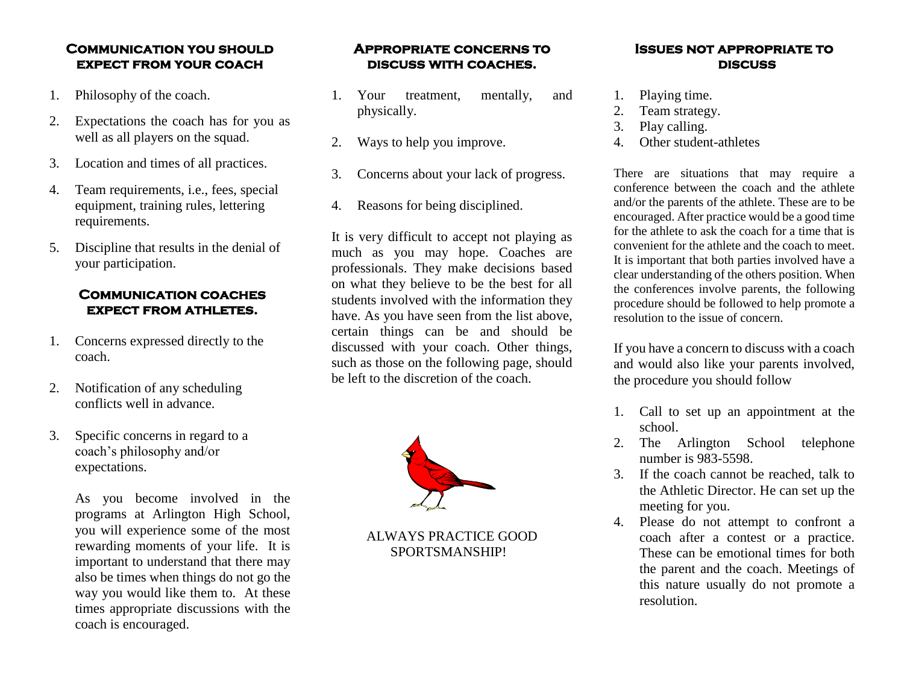### **Communication you should expect from your coach**

- 1. Philosophy of the coach.
- 2. Expectations the coach has for you as well as all players on the squad.
- 3. Location and times of all practices.
- 4. Team requirements, i.e., fees, special equipment, training rules, lettering requirements.
- 5. Discipline that results in the denial of your participation.

## **Communication coaches expect from athletes.**

- 1. Concerns expressed directly to the coach.
- 2. Notification of any scheduling conflicts well in advance.
- 3. Specific concerns in regard to a coach's philosophy and/or expectations.

As you become involved in the programs at Arlington High School, you will experience some of the most rewarding moments of your life. It is important to understand that there may also be times when things do not go the way you would like them to. At these times appropriate discussions with the coach is encouraged.

### **Appropriate concerns to discuss with coaches.**

- 1. Your treatment, mentally, and physically.
- 2. Ways to help you improve.
- 3. Concerns about your lack of progress.
- 4. Reasons for being disciplined.

It is very difficult to accept not playing as much as you may hope. Coaches are professionals. They make decisions based on what they believe to be the best for all students involved with the information they have. As you have seen from the list above, certain things can be and should be discussed with your coach. Other things, such as those on the following page, should be left to the discretion of the coach.



ALWAYS PRACTICE GOOD SPORTSMANSHIP!

#### **Issues not appropriate to discuss**

- 1. Playing time.
- 2. Team strategy.
- 3. Play calling.
- 4. Other student-athletes

There are situations that may require a conference between the coach and the athlete and/or the parents of the athlete. These are to be encouraged. After practice would be a good time for the athlete to ask the coach for a time that is convenient for the athlete and the coach to meet. It is important that both parties involved have a clear understanding of the others position. When the conferences involve parents, the following procedure should be followed to help promote a resolution to the issue of concern.

If you have a concern to discuss with a coach and would also like your parents involved, the procedure you should follow

- 1. Call to set up an appointment at the school.
- 2. The Arlington School telephone number is 983-5598.
- 3. If the coach cannot be reached, talk to the Athletic Director. He can set up the meeting for you.
- 4. Please do not attempt to confront a coach after a contest or a practice. These can be emotional times for both the parent and the coach. Meetings of this nature usually do not promote a resolution.